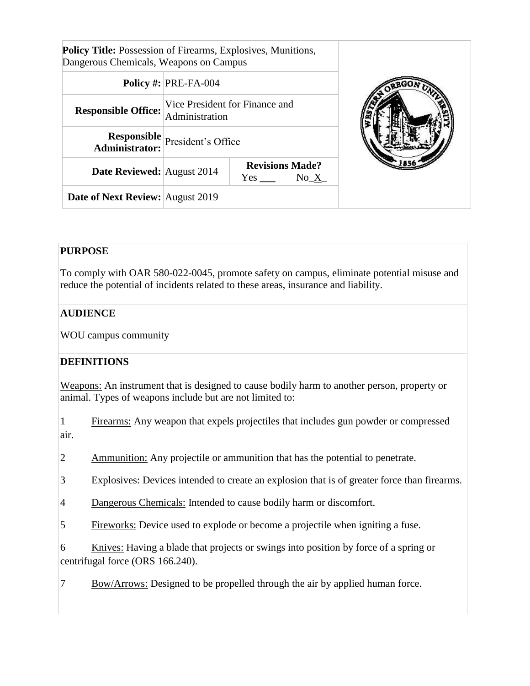| <b>Policy Title:</b> Possession of Firearms, Explosives, Munitions, |
|---------------------------------------------------------------------|
| Dangerous Chemicals, Weapons on Campus                              |

|                                  | Policy #: $ PRE-FA-004$                                                  | OREGON. |
|----------------------------------|--------------------------------------------------------------------------|---------|
| <b>Responsible Office:</b>       | Vice President for Finance and<br>Administration                         |         |
|                                  | <b>Responsible</b><br><b>President's Office</b><br><b>Administrator:</b> |         |
| Date Reviewed: August 2014       | <b>Revisions Made?</b><br>$No_X$                                         |         |
| Date of Next Review: August 2019 |                                                                          |         |

## **PURPOSE**

To comply with OAR 580-022-0045, promote safety on campus, eliminate potential misuse and reduce the potential of incidents related to these areas, insurance and liability.

## **AUDIENCE**

WOU campus community

#### **DEFINITIONS**

Weapons: An instrument that is designed to cause bodily harm to another person, property or animal. Types of weapons include but are not limited to:

1 Firearms: Any weapon that expels projectiles that includes gun powder or compressed air.

2 Ammunition: Any projectile or ammunition that has the potential to penetrate.

3 Explosives: Devices intended to create an explosion that is of greater force than firearms.

- 4 Dangerous Chemicals: Intended to cause bodily harm or discomfort.
- 5 Fireworks: Device used to explode or become a projectile when igniting a fuse.

6 Knives: Having a blade that projects or swings into position by force of a spring or centrifugal force (ORS 166.240).

7 Bow/Arrows: Designed to be propelled through the air by applied human force.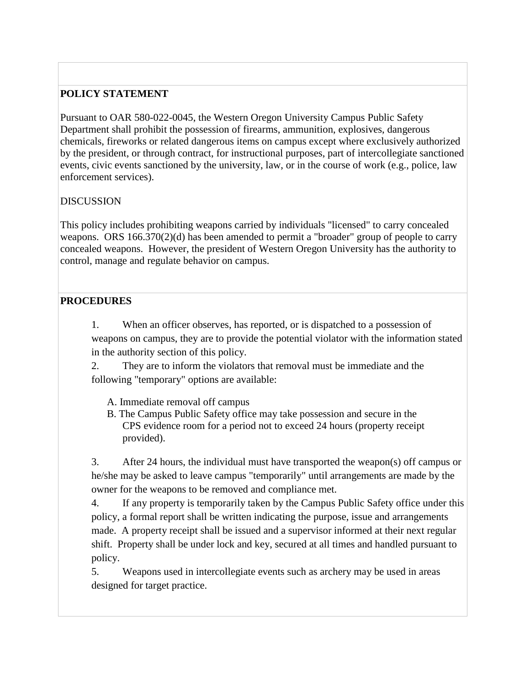## **POLICY STATEMENT**

Pursuant to OAR 580-022-0045, the Western Oregon University Campus Public Safety Department shall prohibit the possession of firearms, ammunition, explosives, dangerous chemicals, fireworks or related dangerous items on campus except where exclusively authorized by the president, or through contract, for instructional purposes, part of intercollegiate sanctioned events, civic events sanctioned by the university, law, or in the course of work (e.g., police, law enforcement services).

#### DISCUSSION

This policy includes prohibiting weapons carried by individuals "licensed" to carry concealed weapons. ORS 166.370(2)(d) has been amended to permit a "broader" group of people to carry concealed weapons. However, the president of Western Oregon University has the authority to control, manage and regulate behavior on campus.

## **PROCEDURES**

1. When an officer observes, has reported, or is dispatched to a possession of weapons on campus, they are to provide the potential violator with the information stated in the authority section of this policy.

2. They are to inform the violators that removal must be immediate and the following "temporary" options are available:

A. Immediate removal off campus

B. The Campus Public Safety office may take possession and secure in the CPS evidence room for a period not to exceed 24 hours (property receipt provided).

3. After 24 hours, the individual must have transported the weapon(s) off campus or he/she may be asked to leave campus "temporarily" until arrangements are made by the owner for the weapons to be removed and compliance met.

4. If any property is temporarily taken by the Campus Public Safety office under this policy, a formal report shall be written indicating the purpose, issue and arrangements made. A property receipt shall be issued and a supervisor informed at their next regular shift. Property shall be under lock and key, secured at all times and handled pursuant to policy.

5. Weapons used in intercollegiate events such as archery may be used in areas designed for target practice.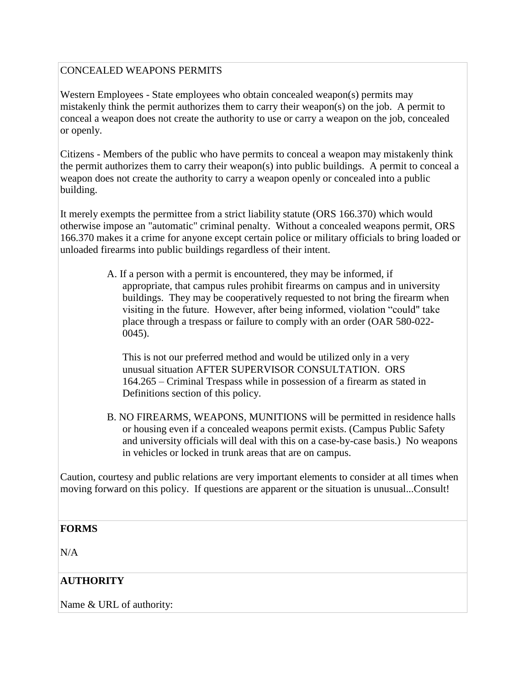#### CONCEALED WEAPONS PERMITS

Western Employees - State employees who obtain concealed weapon(s) permits may mistakenly think the permit authorizes them to carry their weapon(s) on the job. A permit to conceal a weapon does not create the authority to use or carry a weapon on the job, concealed or openly.

Citizens - Members of the public who have permits to conceal a weapon may mistakenly think the permit authorizes them to carry their weapon(s) into public buildings. A permit to conceal a weapon does not create the authority to carry a weapon openly or concealed into a public building.

It merely exempts the permittee from a strict liability statute (ORS 166.370) which would otherwise impose an "automatic" criminal penalty. Without a concealed weapons permit, ORS 166.370 makes it a crime for anyone except certain police or military officials to bring loaded or unloaded firearms into public buildings regardless of their intent.

> A. If a person with a permit is encountered, they may be informed, if appropriate, that campus rules prohibit firearms on campus and in university buildings. They may be cooperatively requested to not bring the firearm when visiting in the future. However, after being informed, violation "could" take place through a trespass or failure to comply with an order (OAR 580-022- 0045).

This is not our preferred method and would be utilized only in a very unusual situation AFTER SUPERVISOR CONSULTATION. ORS 164.265 – Criminal Trespass while in possession of a firearm as stated in Definitions section of this policy.

B. NO FIREARMS, WEAPONS, MUNITIONS will be permitted in residence halls or housing even if a concealed weapons permit exists. (Campus Public Safety and university officials will deal with this on a case-by-case basis.) No weapons in vehicles or locked in trunk areas that are on campus.

Caution, courtesy and public relations are very important elements to consider at all times when moving forward on this policy. If questions are apparent or the situation is unusual...Consult!

#### **FORMS**

N/A

## **AUTHORITY**

Name & URL of authority: